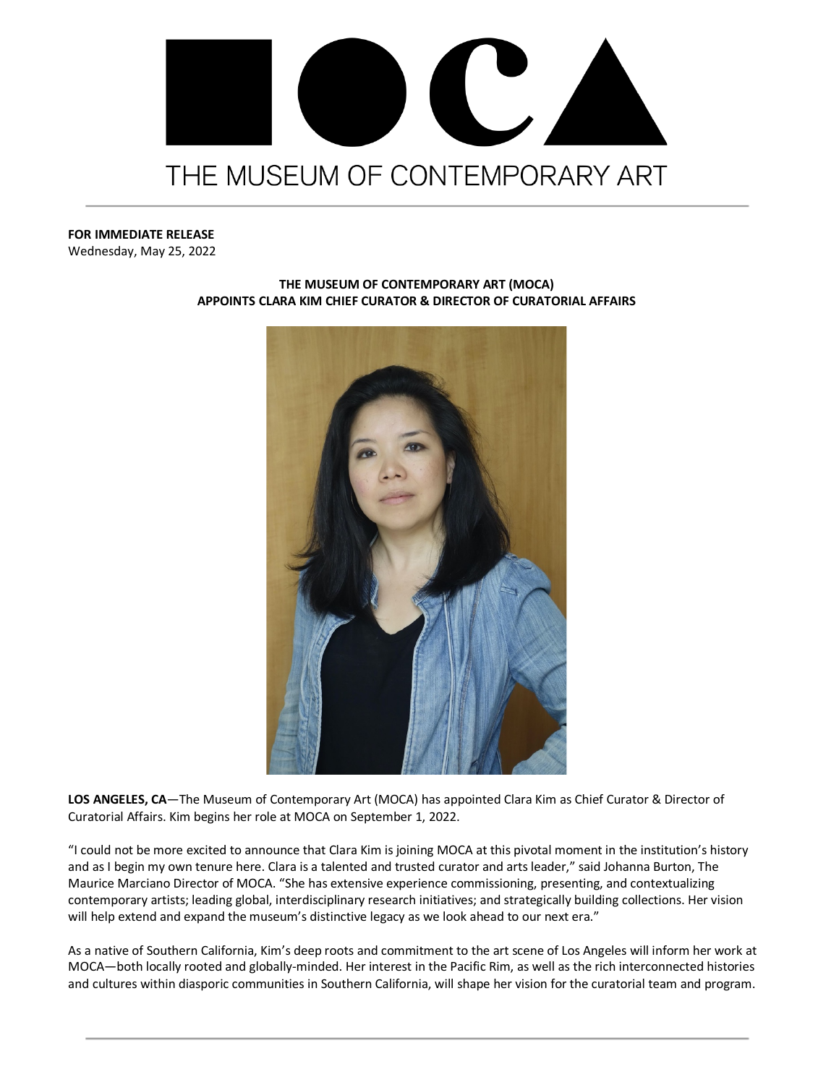

## **FOR IMMEDIATE RELEASE**

Wednesday, May 25, 2022



## **THE MUSEUM OF CONTEMPORARY ART (MOCA) APPOINTS CLARA KIM CHIEF CURATOR & DIRECTOR OF CURATORIAL AFFAIRS**

**LOS ANGELES, CA**—The Museum of Contemporary Art (MOCA) has appointed Clara Kim as Chief Curator & Director of Curatorial Affairs. Kim begins her role at MOCA on September 1, 2022.

"I could not be more excited to announce that Clara Kim is joining MOCA at this pivotal moment in the institution's history and as I begin my own tenure here. Clara is a talented and trusted curator and arts leader," said Johanna Burton, The Maurice Marciano Director of MOCA. "She has extensive experience commissioning, presenting, and contextualizing contemporary artists; leading global, interdisciplinary research initiatives; and strategically building collections. Her vision will help extend and expand the museum's distinctive legacy as we look ahead to our next era."

As a native of Southern California, Kim's deep roots and commitment to the art scene of Los Angeles will inform her work at MOCA—both locally rooted and globally-minded. Her interest in the Pacific Rim, as well as the rich interconnected histories and cultures within diasporic communities in Southern California, will shape her vision for the curatorial team and program.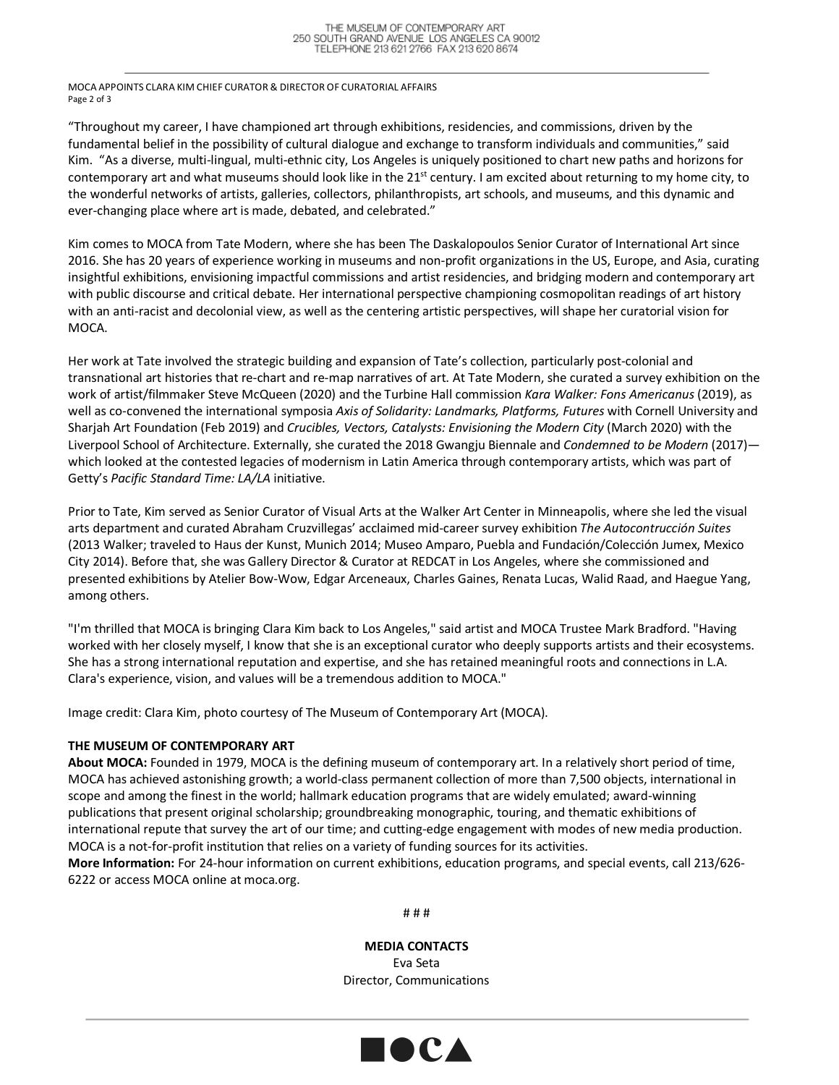MOCA APPOINTS CLARA KIM CHIEF CURATOR & DIRECTOR OF CURATORIAL AFFAIRS Page 2 of 3

"Throughout my career, I have championed art through exhibitions, residencies, and commissions, driven by the fundamental belief in the possibility of cultural dialogue and exchange to transform individuals and communities," said Kim. "As a diverse, multi-lingual, multi-ethnic city, Los Angeles is uniquely positioned to chart new paths and horizons for contemporary art and what museums should look like in the  $21^{st}$  century. I am excited about returning to my home city, to the wonderful networks of artists, galleries, collectors, philanthropists, art schools, and museums, and this dynamic and ever-changing place where art is made, debated, and celebrated."

Kim comes to MOCA from Tate Modern, where she has been The Daskalopoulos Senior Curator of International Art since 2016. She has 20 years of experience working in museums and non-profit organizations in the US, Europe, and Asia, curating insightful exhibitions, envisioning impactful commissions and artist residencies, and bridging modern and contemporary art with public discourse and critical debate. Her international perspective championing cosmopolitan readings of art history with an anti-racist and decolonial view, as well as the centering artistic perspectives, will shape her curatorial vision for MOCA.

Her work at Tate involved the strategic building and expansion of Tate's collection, particularly post-colonial and transnational art histories that re-chart and re-map narratives of art. At Tate Modern, she curated a survey exhibition on the work of artist/filmmaker Steve McQueen (2020) and the Turbine Hall commission *Kara Walker: Fons Americanus* (2019), as well as co-convened the international symposia *Axis of Solidarity: Landmarks, Platforms, Futures* with Cornell University and Sharjah Art Foundation (Feb 2019) and *Crucibles, Vectors, Catalysts: Envisioning the Modern City* (March 2020) with the Liverpool School of Architecture. Externally, she curated the 2018 Gwangju Biennale and *Condemned to be Modern* (2017) which looked at the contested legacies of modernism in Latin America through contemporary artists, which was part of Getty's *Pacific Standard Time: LA/LA* initiative.

Prior to Tate, Kim served as Senior Curator of Visual Arts at the Walker Art Center in Minneapolis, where she led the visual arts department and curated Abraham Cruzvillegas' acclaimed mid-career survey exhibition *The Autocontrucción Suites* (2013 Walker; traveled to Haus der Kunst, Munich 2014; Museo Amparo, Puebla and Fundación/Colección Jumex, Mexico City 2014). Before that, she was Gallery Director & Curator at REDCAT in Los Angeles, where she commissioned and presented exhibitions by Atelier Bow-Wow, Edgar Arceneaux, Charles Gaines, Renata Lucas, Walid Raad, and Haegue Yang, among others.

"I'm thrilled that MOCA is bringing Clara Kim back to Los Angeles," said artist and MOCA Trustee Mark Bradford. "Having worked with her closely myself, I know that she is an exceptional curator who deeply supports artists and their ecosystems. She has a strong international reputation and expertise, and she has retained meaningful roots and connections in L.A. Clara's experience, vision, and values will be a tremendous addition to MOCA."

Image credit: Clara Kim, photo courtesy of The Museum of Contemporary Art (MOCA).

## **THE MUSEUM OF CONTEMPORARY ART**

**About MOCA:** Founded in 1979, MOCA is the defining museum of contemporary art. In a relatively short period of time, MOCA has achieved astonishing growth; a world-class permanent collection of more than 7,500 objects, international in scope and among the finest in the world; hallmark education programs that are widely emulated; award-winning publications that present original scholarship; groundbreaking monographic, touring, and thematic exhibitions of international repute that survey the art of our time; and cutting-edge engagement with modes of new media production. MOCA is a not-for-profit institution that relies on a variety of funding sources for its activities.

**More Information:** For 24-hour information on current exhibitions, education programs, and special events, call 213/626- 6222 or access MOCA online at moca.org.

# # #

**MEDIA CONTACTS** Eva Seta Director, Communications